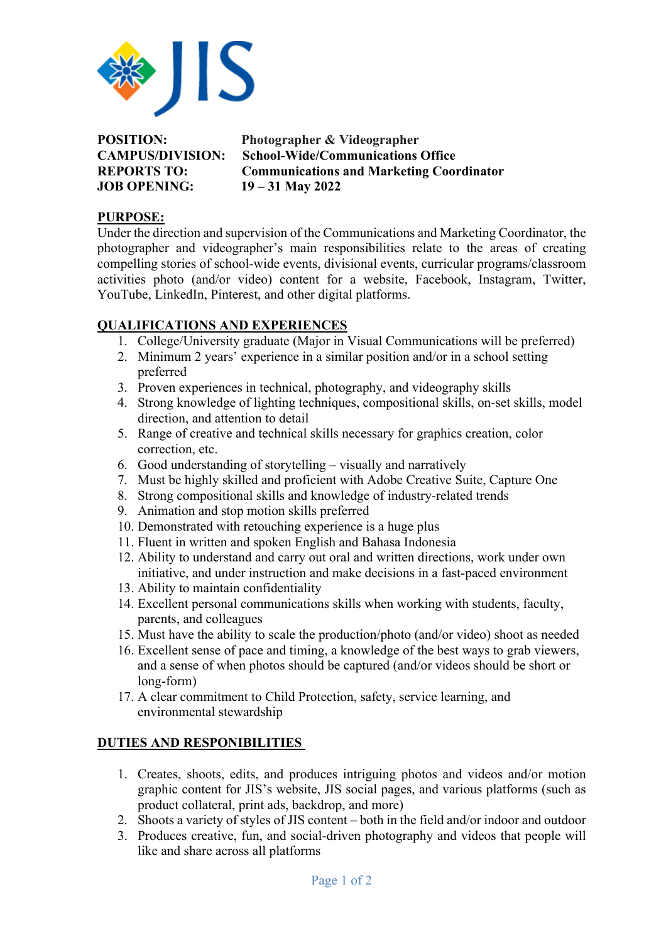

**POSITION: Photographer & Videographer JOB OPENING: 19 – 31 May 2022**

**CAMPUS/DIVISION: School-Wide/Communications Office REPORTS TO: Communications and Marketing Coordinator**

## **PURPOSE:**

Under the direction and supervision of the Communications and Marketing Coordinator, the photographer and videographer's main responsibilities relate to the areas of creating compelling stories of school-wide events, divisional events, curricular programs/classroom activities photo (and/or video) content for a website, Facebook, Instagram, Twitter, YouTube, LinkedIn, Pinterest, and other digital platforms.

## **QUALIFICATIONS AND EXPERIENCES**

- 1. College/University graduate (Major in Visual Communications will be preferred)
- 2. Minimum 2 years' experience in a similar position and/or in a school setting preferred
- 3. Proven experiences in technical, photography, and videography skills
- 4. Strong knowledge of lighting techniques, compositional skills, on-set skills, model direction, and attention to detail
- 5. Range of creative and technical skills necessary for graphics creation, color correction, etc.
- 6. Good understanding of storytelling visually and narratively
- 7. Must be highly skilled and proficient with Adobe Creative Suite, Capture One
- 8. Strong compositional skills and knowledge of industry-related trends
- 9. Animation and stop motion skills preferred
- 10. Demonstrated with retouching experience is a huge plus
- 11. Fluent in written and spoken English and Bahasa Indonesia
- 12. Ability to understand and carry out oral and written directions, work under own initiative, and under instruction and make decisions in a fast-paced environment
- 13. Ability to maintain confidentiality
- 14. Excellent personal communications skills when working with students, faculty, parents, and colleagues
- 15. Must have the ability to scale the production/photo (and/or video) shoot as needed
- 16. Excellent sense of pace and timing, a knowledge of the best ways to grab viewers, and a sense of when photos should be captured (and/or videos should be short or long-form)
- 17. A clear commitment to Child Protection, safety, service learning, and environmental stewardship

## **DUTIES AND RESPONIBILITIES**

- 1. Creates, shoots, edits, and produces intriguing photos and videos and/or motion graphic content for JIS's website, JIS social pages, and various platforms (such as product collateral, print ads, backdrop, and more)
- 2. Shoots a variety of styles of JIS content both in the field and/or indoor and outdoor
- 3. Produces creative, fun, and social-driven photography and videos that people will like and share across all platforms